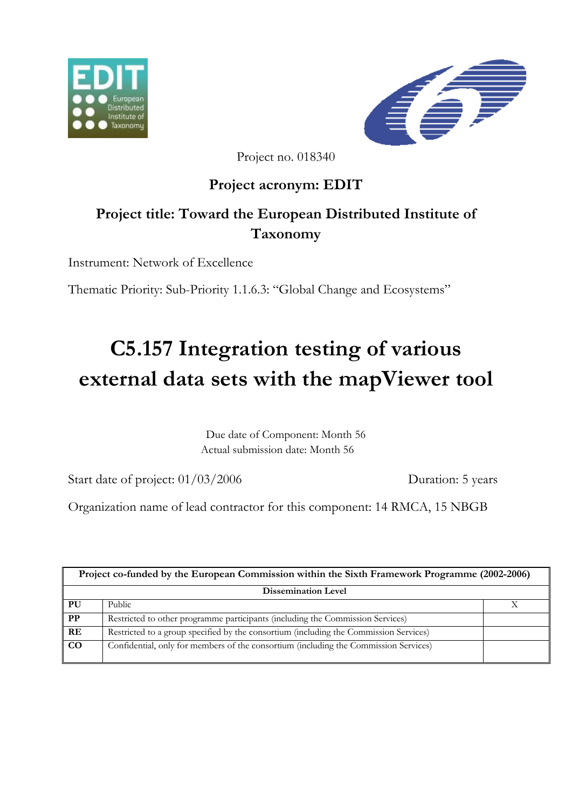



Project no. 018340

# **Project acronym: EDIT**

# **Project title: Toward the European Distributed Institute of Taxonomy**

Instrument: Network of Excellence

Thematic Priority: Sub-Priority 1.1.6.3: "Global Change and Ecosystems"

# **C5.157 Integration testing of various external data sets with the mapViewer tool**

Due date of Component: Month 56 Actual submission date: Month 56

Start date of project:  $01/03/2006$  Duration: 5 years

Organization name of lead contractor for this component: 14 RMCA, 15 NBGB

| Project co-funded by the European Commission within the Sixth Framework Programme (2002-2006) |                                                                                       |  |
|-----------------------------------------------------------------------------------------------|---------------------------------------------------------------------------------------|--|
| <b>Dissemination Level</b>                                                                    |                                                                                       |  |
| PU                                                                                            | Public                                                                                |  |
| $\overline{\mathbf{PP}}$                                                                      | Restricted to other programme participants (including the Commission Services)        |  |
| $\overline{\mathbf{R}}$ E                                                                     | Restricted to a group specified by the consortium (including the Commission Services) |  |
| $\overline{co}$                                                                               | Confidential, only for members of the consortium (including the Commission Services)  |  |
|                                                                                               |                                                                                       |  |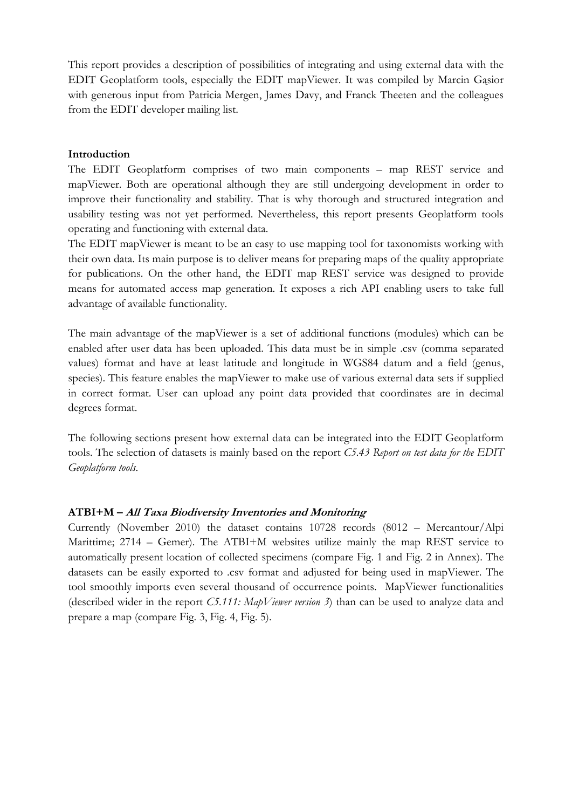This report provides a description of possibilities of integrating and using external data with the EDIT Geoplatform tools, especially the EDIT mapViewer. It was compiled by Marcin Gąsior with generous input from Patricia Mergen, James Davy, and Franck Theeten and the colleagues from the EDIT developer mailing list.

#### **Introduction**

The EDIT Geoplatform comprises of two main components – map REST service and mapViewer. Both are operational although they are still undergoing development in order to improve their functionality and stability. That is why thorough and structured integration and usability testing was not yet performed. Nevertheless, this report presents Geoplatform tools operating and functioning with external data.

The EDIT mapViewer is meant to be an easy to use mapping tool for taxonomists working with their own data. Its main purpose is to deliver means for preparing maps of the quality appropriate for publications. On the other hand, the EDIT map REST service was designed to provide means for automated access map generation. It exposes a rich API enabling users to take full advantage of available functionality.

The main advantage of the mapViewer is a set of additional functions (modules) which can be enabled after user data has been uploaded. This data must be in simple .csv (comma separated values) format and have at least latitude and longitude in WGS84 datum and a field (genus, species). This feature enables the mapViewer to make use of various external data sets if supplied in correct format. User can upload any point data provided that coordinates are in decimal degrees format.

The following sections present how external data can be integrated into the EDIT Geoplatform tools. The selection of datasets is mainly based on the report *C5.43 Report on test data for the EDIT Geoplatform tools*.

## **ATBI+M – All Taxa Biodiversity Inventories and Monitoring**

Currently (November 2010) the dataset contains 10728 records (8012 – Mercantour/Alpi Marittime; 2714 – Gemer). The ATBI+M websites utilize mainly the map REST service to automatically present location of collected specimens (compare Fig. 1 and Fig. 2 in Annex). The datasets can be easily exported to .csv format and adjusted for being used in mapViewer. The tool smoothly imports even several thousand of occurrence points. MapViewer functionalities (described wider in the report *C5.111: MapViewer version 3*) than can be used to analyze data and prepare a map (compare Fig. 3, Fig. 4, Fig. 5).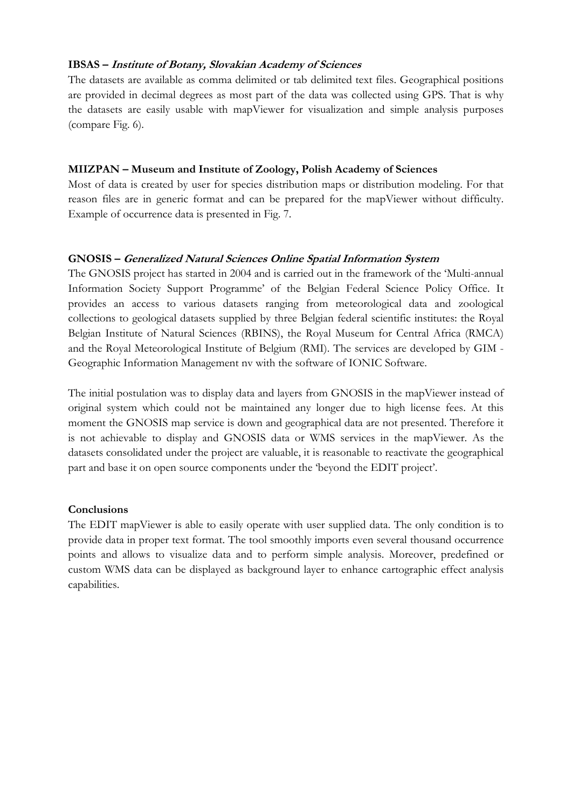## **IBSAS – Institute of Botany, Slovakian Academy of Sciences**

The datasets are available as comma delimited or tab delimited text files. Geographical positions are provided in decimal degrees as most part of the data was collected using GPS. That is why the datasets are easily usable with mapViewer for visualization and simple analysis purposes (compare Fig. 6).

#### **MIIZPAN – Museum and Institute of Zoology, Polish Academy of Sciences**

Most of data is created by user for species distribution maps or distribution modeling. For that reason files are in generic format and can be prepared for the mapViewer without difficulty. Example of occurrence data is presented in Fig. 7.

## **GNOSIS – Generalized Natural Sciences Online Spatial Information System**

The GNOSIS project has started in 2004 and is carried out in the framework of the 'Multi-annual Information Society Support Programme' of the Belgian Federal Science Policy Office. It provides an access to various datasets ranging from meteorological data and zoological collections to geological datasets supplied by three Belgian federal scientific institutes: the Royal Belgian Institute of Natural Sciences (RBINS), the Royal Museum for Central Africa (RMCA) and the Royal Meteorological Institute of Belgium (RMI). The services are developed by GIM - Geographic Information Management nv with the software of IONIC Software.

The initial postulation was to display data and layers from GNOSIS in the mapViewer instead of original system which could not be maintained any longer due to high license fees. At this moment the GNOSIS map service is down and geographical data are not presented. Therefore it is not achievable to display and GNOSIS data or WMS services in the mapViewer. As the datasets consolidated under the project are valuable, it is reasonable to reactivate the geographical part and base it on open source components under the 'beyond the EDIT project'.

## **Conclusions**

The EDIT mapViewer is able to easily operate with user supplied data. The only condition is to provide data in proper text format. The tool smoothly imports even several thousand occurrence points and allows to visualize data and to perform simple analysis. Moreover, predefined or custom WMS data can be displayed as background layer to enhance cartographic effect analysis capabilities.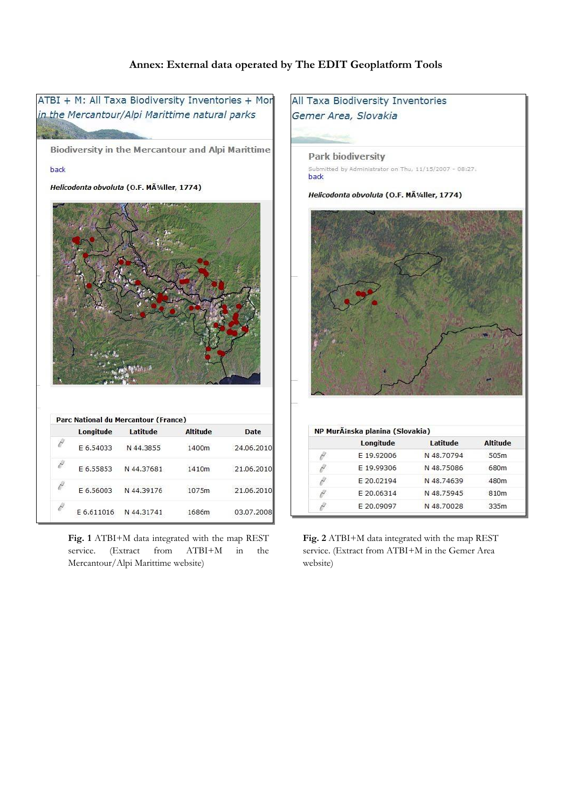#### **Annex: External data operated by The EDIT Geoplatform Tools**



**Fig. 1** ATBI+M data integrated with the map REST service. (Extract from ATBI+M in the Mercantour/Alpi Marittime website)

**Fig. 2** ATBI+M data integrated with the map REST service. (Extract from ATBI+M in the Gemer Area website)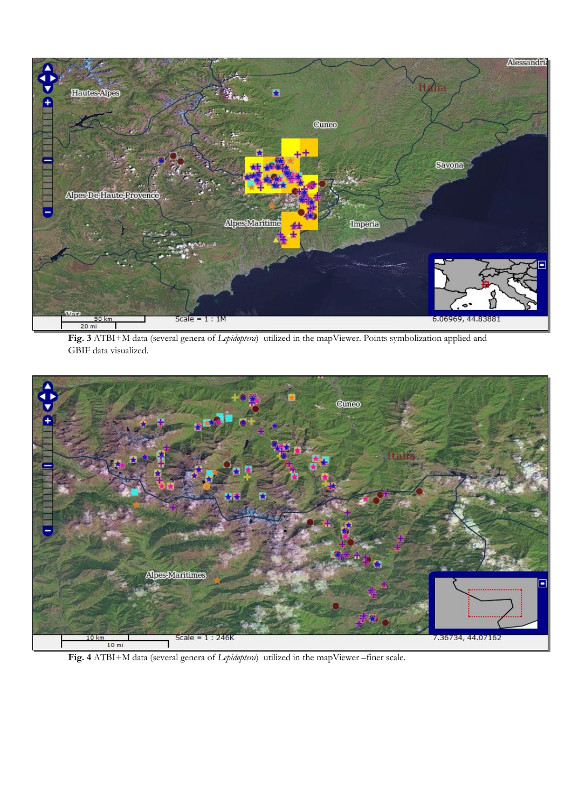

**Fig. 3** ATBI+M data (several genera of *Lepidoptera*) utilized in the mapViewer. Points symbolization applied and GBIF data visualized.



**Fig. 4** ATBI+M data (several genera of *Lepidoptera*) utilized in the mapViewer –finer scale.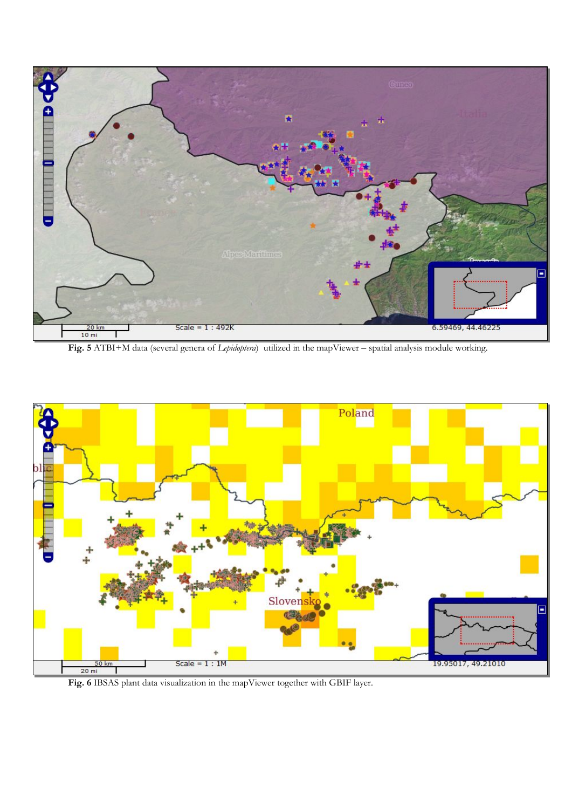

**Fig. 5** ATBI+M data (several genera of *Lepidoptera*) utilized in the mapViewer – spatial analysis module working.



**Fig. 6** IBSAS plant data visualization in the mapViewer together with GBIF layer.